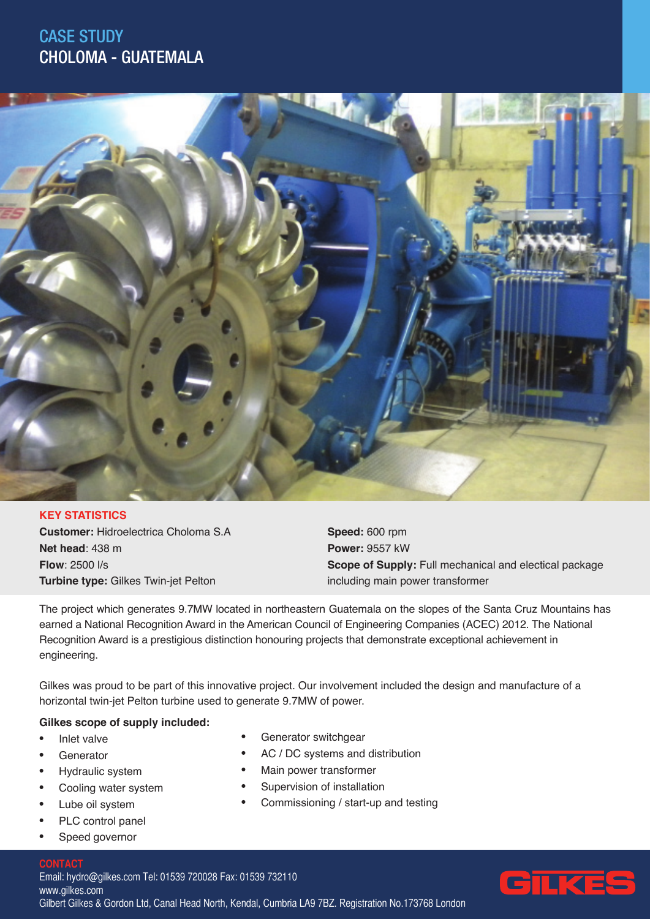## CASE STUDY CHOLOMA - GUATEMALA



### **KEY STATISTICS**

**Customer:** Hidroelectrica Choloma S.A **Net head**: 438 m **Flow**: 2500 l/s **Turbine type:** Gilkes Twin-jet Pelton

**Speed:** 600 rpm **Power:** 9557 kW **Scope of Supply:** Full mechanical and electical package including main power transformer

The project which generates 9.7MW located in northeastern Guatemala on the slopes of the Santa Cruz Mountains has earned a National Recognition Award in the American Council of Engineering Companies (ACEC) 2012. The National Recognition Award is a prestigious distinction honouring projects that demonstrate exceptional achievement in engineering.

Gilkes was proud to be part of this innovative project. Our involvement included the design and manufacture of a horizontal twin-jet Pelton turbine used to generate 9.7MW of power.

Generator switchgear

Main power transformer Supervision of installation

AC / DC systems and distribution

Commissioning / start-up and testing

#### **Gilkes scope of supply included:**

- Inlet valve
- **Generator**
- Hydraulic system
- Cooling water system
- Lube oil system
- PLC control panel
- Speed governor

#### **CONTACT**

Email: hydro@gilkes.com Tel: 01539 720028 Fax: 01539 732110 www.gilkes.com Gilbert Gilkes & Gordon Ltd, Canal Head North, Kendal, Cumbria LA9 7BZ. Registration No.173768 London